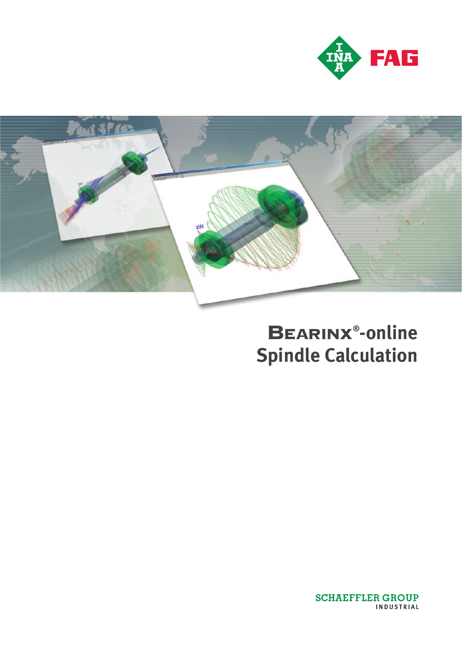



# BEARINX**® -online Spindle Calculation**

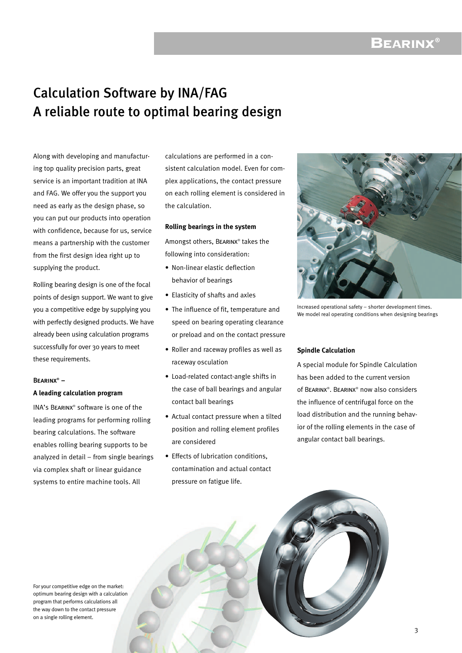### BEARINX**®**

### Calculation Software by INA/FAG A reliable route to optimal bearing design

Along with developing and manufacturing top quality precision parts, great service is an important tradition at INA and FAG. We offer you the support you need as early as the design phase, so you can put our products into operation with confidence, because for us, service means a partnership with the customer from the first design idea right up to supplying the product.

Rolling bearing design is one of the focal points of design support. We want to give you a competitive edge by supplying you with perfectly designed products. We have already been using calculation programs successfully for over 30 years to meet these requirements.

#### Bearinx® **–**

#### **A leading calculation program**

INA's Bearinx® software is one of the leading programs for performing rolling bearing calculations. The software enables rolling bearing supports to be analyzed in detail – from single bearings via complex shaft or linear guidance systems to entire machine tools. All

calculations are performed in a consistent calculation model. Even for complex applications, the contact pressure on each rolling element is considered in the calculation.

#### **Rolling bearings in the system**

Amongst others, Bearinx® takes the following into consideration:

- Non-linear elastic deflection behavior of bearings
- Elasticity of shafts and axles
- The influence of fit, temperature and speed on bearing operating clearance or preload and on the contact pressure
- Roller and raceway profiles as well as raceway osculation
- Load-related contact-angle shifts in the case of ball bearings and angular contact ball bearings
- Actual contact pressure when a tilted position and rolling element profiles are considered
- Effects of lubrication conditions, contamination and actual contact pressure on fatigue life.



Increased operational safety – shorter development times. We model real operating conditions when designing bearings

#### **Spindle Calculation**

A special module for Spindle Calculation has been added to the current version of BEARINX®. BEARINX® now also considers the influence of centrifugal force on the load distribution and the running behavior of the rolling elements in the case of angular contact ball bearings.

For your competitive edge on the market: optimum bearing design with a calculation program that performs calculations all the way down to the contact pressure on a single rolling element.

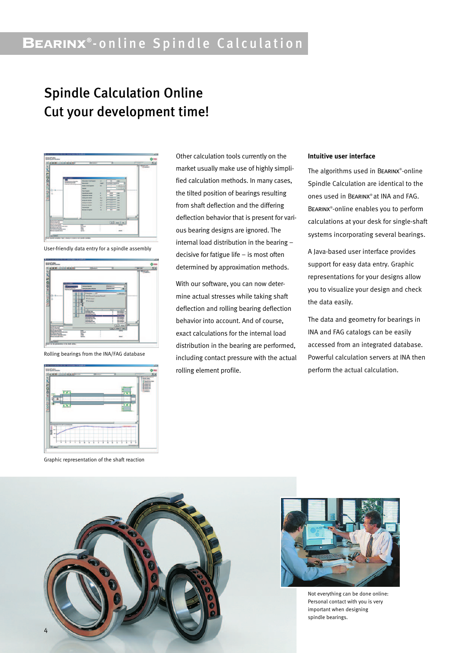# BEARINX**®** -online Spindle Calculation

## Spindle Calculation Online Cut your development time!



User-friendly data entry for a spindle assembly



Rolling bearings from the INA/FAG database



Graphic representation of the shaft reaction

Other calculation tools currently on the market usually make use of highly simplified calculation methods. In many cases, the tilted position of bearings resulting from shaft deflection and the differing deflection behavior that is present for various bearing designs are ignored. The internal load distribution in the bearing – decisive for fatigue life – is most often determined by approximation methods.

With our software, you can now determine actual stresses while taking shaft deflection and rolling bearing deflection behavior into account. And of course, exact calculations for the internal load distribution in the bearing are performed, including contact pressure with the actual rolling element profile.

#### **Intuitive user interface**

The algorithms used in BEARINX®-online Spindle Calculation are identical to the ones used in Bearinx® at INA and FAG. Bearinx® -online enables you to perform calculations at your desk for single-shaft systems incorporating several bearings.

A Java-based user interface provides support for easy data entry. Graphic representations for your designs allow you to visualize your design and check the data easily.

The data and geometry for bearings in INA and FAG catalogs can be easily accessed from an integrated database. Powerful calculation servers at INA then perform the actual calculation.





Not everything can be done online: Personal contact with you is very important when designing spindle bearings.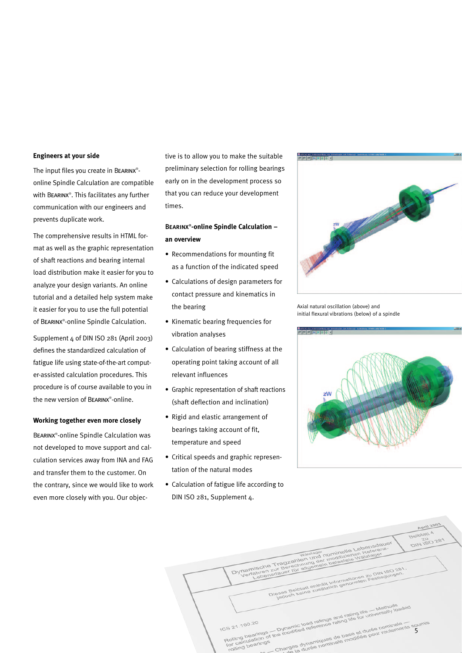#### **Engineers at your side**

The input files you create in BEARINX<sup>®</sup>online Spindle Calculation are compatible with Bearinx® . This facilitates any further communication with our engineers and prevents duplicate work.

The comprehensive results in HTML format as well as the graphic representation of shaft reactions and bearing internal load distribution make it easier for you to analyze your design variants. An online tutorial and a detailed help system make it easier for you to use the full potential of Bearinx® -online Spindle Calculation.

Supplement 4 of DIN ISO 281 (April 2003) defines the standardized calculation of fatigue life using state-of-the-art computer-assisted calculation procedures. This procedure is of course available to you in the new version of Bearinx® -online.

#### **Working together even more closely**

Bearinx® -online Spindle Calculation was not developed to move support and calculation services away from INA and FAG and transfer them to the customer. On the contrary, since we would like to work even more closely with you. Our objective is to allow you to make the suitable preliminary selection for rolling bearings early on in the development process so that you can reduce your development times.

#### Bearinx® **-online Spindle Calculation – an overview**

- Recommendations for mounting fit as a function of the indicated speed
- Calculations of design parameters for contact pressure and kinematics in the bearing
- Kinematic bearing frequencies for vibration analyses
- Calculation of bearing stiffness at the operating point taking account of all relevant influences
- Graphic representation of shaft reactions (shaft deflection and inclination)
- Rigid and elastic arrangement of bearings taking account of fit, temperature and speed
- Critical speeds and graphic representation of the natural modes
- Calculation of fatigue life according to DIN ISO 281, Supplement 4.



Axial natural oscillation (above) and initial flexural vibrations (below) of a spindle



|                                                                                                                                                                                                                                                                                           | <b>April 2003</b>       |
|-------------------------------------------------------------------------------------------------------------------------------------------------------------------------------------------------------------------------------------------------------------------------------------------|-------------------------|
|                                                                                                                                                                                                                                                                                           | <b>Beiblatt A</b><br>70 |
| Dynamische Tragzahlen und nominelle Lebensdauer                                                                                                                                                                                                                                           | DIN 150 281             |
|                                                                                                                                                                                                                                                                                           |                         |
| Wertahren zur Berechnung der modifizierten Referenz-<br>Tramen zur berechnung ger moglizzerien Kelaren<br>Dieses Beiblatt enthält Informationen zu DIN ISO 281.                                                                                                                           |                         |
| leases behalard stringer information of Pastlegungen.                                                                                                                                                                                                                                     |                         |
|                                                                                                                                                                                                                                                                                           |                         |
|                                                                                                                                                                                                                                                                                           |                         |
| Rolling bearings - Dynamic load ratings and rating life - Methods<br>rtolling pearings - in pynamic load ratings and rating life for universally loaded<br>ICS 21.100.20<br>entering a strike in manimals modifiée pour roulements soumis<br>Charnes dunamiques de base et durée nominale |                         |
|                                                                                                                                                                                                                                                                                           |                         |
| rolling bearings                                                                                                                                                                                                                                                                          |                         |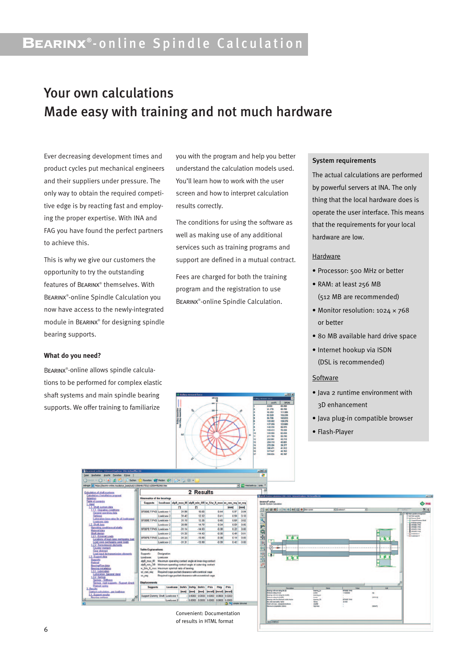# BEARINX**®** -online Spindle Calculation

### Your own calculations Made easy with training and not much hardware

Ever decreasing development times and product cycles put mechanical engineers and their suppliers under pressure. The only way to obtain the required competitive edge is by reacting fast and employing the proper expertise. With INA and FAG you have found the perfect partners to achieve this.

This is why we give our customers the opportunity to try the outstanding features of Bearinx® themselves. With Bearinx® -online Spindle Calculation you now have access to the newly-integrated module in Bearinx® for designing spindle bearing supports.

#### **What do you need?**

BEARINX<sup>®</sup>-online allows spindle calculations to be performed for complex elastic shaft systems and main spindle bearing supports. We offer training to familiarize

you with the program and help you better understand the calculation models used. You'll learn how to work with the user screen and how to interpret calculation results correctly.

The conditions for using the software as well as making use of any additional services such as training programs and support are defined in a mutual contract.

Fees are charged for both the training program and the registration to use Bearinx® -online Spindle Calculation.

#### System requirements

The actual calculations are performed by powerful servers at INA. The only thing that the local hardware does is operate the user interface. This means that the requirements for your local hardware are low.

#### Hardware

- Processor: 500 MHz or better
- RAM: at least 256 MB (512 MB are recommended)
- Monitor resolution: 1024 × 768 or better
- 80 MB available hard drive space
- Internet hookup via ISDN (DSL is recommended)

#### **Software**

- Java 2 runtime environment with 3D enhancement
- Java plug-in compatible browser
- Flash-Player